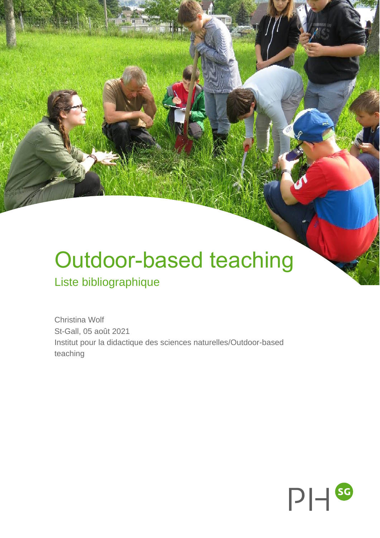# Outdoor-based teaching

## Liste bibliographique

Christina Wolf St-Gall, 05 août 2021 Institut pour la didactique des sciences naturelles/Outdoor-based teaching

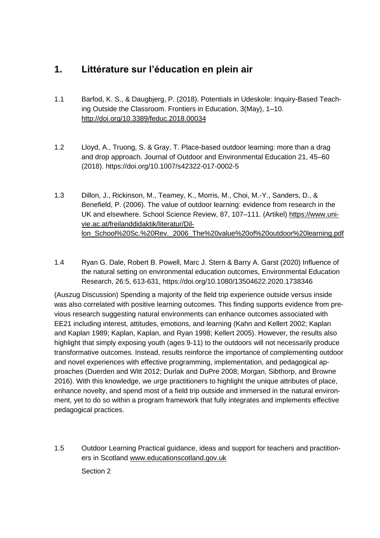### **1. Littérature sur l'éducation en plein air**

- 1.1 Barfod, K. S., & Daugbjerg, P. (2018). Potentials in Udeskole: Inquiry-Based Teaching Outside the Classroom. Frontiers in Education, 3(May), 1–10. <http://doi.org/10.3389/feduc.2018.00034>
- 1.2 Lloyd, A., Truong, S. & Gray, T. Place-based outdoor learning: more than a drag and drop approach. Journal of Outdoor and Environmental Education 21, 45–60 (2018).<https://doi.org/10.1007/s42322-017-0002-5>
- 1.3 Dillon, J., Rickinson, M., Teamey, K., Morris, M., Choi, M.-Y., Sanders, D., & Benefield, P. (2006). The value of outdoor learning: evidence from research in the UK and elsewhere. School Science Review, 87, 107–111. (Artikel) [https://www.uni](https://www.univie.ac.at/freilanddidaktik/literatur/Dillon_School%20Sc.%20Rev._2006_The%20value%20of%20outdoor%20learning.pdf)[vie.ac.at/freilanddidaktik/literatur/Dil](https://www.univie.ac.at/freilanddidaktik/literatur/Dillon_School%20Sc.%20Rev._2006_The%20value%20of%20outdoor%20learning.pdf)[lon\\_School%20Sc.%20Rev.\\_2006\\_The%20value%20of%20outdoor%20learning.pdf](https://www.univie.ac.at/freilanddidaktik/literatur/Dillon_School%20Sc.%20Rev._2006_The%20value%20of%20outdoor%20learning.pdf)
- 1.4 Ryan G. Dale, Robert B. Powell, Marc J. Stern & Barry A. Garst (2020) Influence of the natural setting on environmental education outcomes, Environmental Education Research, 26:5, 613-631,<https://doi.org/10.1080/13504622.2020.1738346>

(Auszug Discussion) Spending a majority of the field trip experience outside versus inside was also correlated with positive learning outcomes. This finding supports evidence from previous research suggesting natural environments can enhance outcomes associated with EE21 including interest, attitudes, emotions, and learning (Kahn and Kellert 2002; Kaplan and Kaplan 1989; Kaplan, Kaplan, and Ryan 1998; Kellert 2005). However, the results also highlight that simply exposing youth (ages 9-11) to the outdoors will not necessarily produce transformative outcomes. Instead, results reinforce the importance of complementing outdoor and novel experiences with effective programming, implementation, and pedagogical approaches (Duerden and Witt 2012; Durlak and DuPre 2008; Morgan, Sibthorp, and Browne 2016). With this knowledge, we urge practitioners to highlight the unique attributes of place, enhance novelty, and spend most of a field trip outside and immersed in the natural environment, yet to do so within a program framework that fully integrates and implements effective pedagogical practices.

1.5 Outdoor Learning Practical guidance, ideas and support for teachers and practitioners in Scotland [www.educationscotland.gov.uk](http://www.educationscotland.gov.uk/) Section 2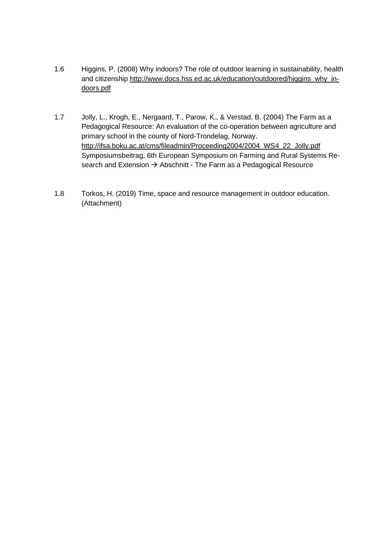- 1.6 Higgins, P. (2008) Why indoors? The role of outdoor learning in sustainability, health and citizenship [http://www.docs.hss.ed.ac.uk/education/outdoored/higgins\\_why\\_in](http://www.docs.hss.ed.ac.uk/education/outdoored/higgins_why_indoors.pdf)[doors.pdf](http://www.docs.hss.ed.ac.uk/education/outdoored/higgins_why_indoors.pdf)
- 1.7 Jolly, L., Krogh, E., Nergaard, T., Parow, K., & Verstad, B. (2004) The Farm as a Pedagogical Resource: An evaluation of the co-operation between agriculture and primary school in the county of Nord-Trondelag, Norway. [http://ifsa.boku.ac.at/cms/fileadmin/Proceeding2004/2004\\_WS4\\_22\\_Jolly.pdf](http://ifsa.boku.ac.at/cms/fileadmin/Proceeding2004/2004_WS4_22_Jolly.pdf) Symposiumsbeitrag, 6th European Symposium on Farming and Rural Systems Research and Extension → Abschnitt - The Farm as a Pedagogical Resource
- 1.8 Torkos, H. (2019) Time, space and resource management in outdoor education. (Attachment)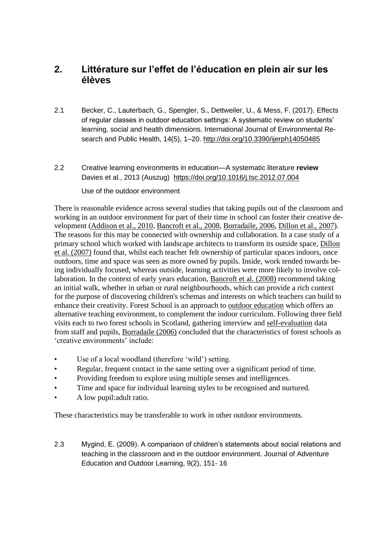#### **2. Littérature sur l'effet de l'éducation en plein air sur les élèves**

- 2.1 Becker, C., Lauterbach, G., Spengler, S., Dettweiler, U., & Mess, F. (2017). Effects of regular classes in outdoor education settings: A systematic review on students' learning, social and health dimensions. International Journal of Environmental Research and Public Health, 14(5), 1–20.<http://doi.org/10.3390/ijerph14050485>
- 2.2 Creative learning environments in education—A systematic literature **review** Davies et al., 2013 (Auszug) <https://doi.org/10.1016/j.tsc.2012.07.004>

Use of the outdoor environment

There is reasonable evidence across several studies that taking pupils out of the classroom and working in an outdoor environment for part of their time in school can foster their creative de-velopment [\(Addison et al., 2010,](https://www.sciencedirect.com/science/article/pii/S187118711200051X#bib0005) [Bancroft et al., 2008,](https://www.sciencedirect.com/science/article/pii/S187118711200051X#bib0020) [Borradaile, 2006,](https://www.sciencedirect.com/science/article/pii/S187118711200051X#bib0040) [Dillon et al., 2007\)](https://www.sciencedirect.com/science/article/pii/S187118711200051X#bib0110). The reasons for this may be connected with ownership and collaboration. In a case study of a primary school which worked with landscape architects to transform its outside space, [Dillon](https://www.sciencedirect.com/science/article/pii/S187118711200051X#bib0110)  [et al. \(2007\)](https://www.sciencedirect.com/science/article/pii/S187118711200051X#bib0110) found that, whilst each teacher felt ownership of particular spaces indoors, once outdoors, time and space was seen as more owned by pupils. Inside, work tended towards being individually focused, whereas outside, learning activities were more likely to involve collaboration. In the context of early years education, [Bancroft et al. \(2008\)](https://www.sciencedirect.com/science/article/pii/S187118711200051X#bib0020) recommend taking an initial walk, whether in urban or rural neighbourhoods, which can provide a rich context for the purpose of discovering children's schemas and interests on which teachers can build to enhance their creativity. Forest School is an approach to [outdoor education](https://www.sciencedirect.com/topics/social-sciences/outdoor-education) which offers an alternative teaching environment, to complement the indoor curriculum. Following three field visits each to two forest schools in Scotland, gathering interview and [self-evaluation](https://www.sciencedirect.com/topics/psychology/self-evaluations) data from staff and pupils, [Borradaile \(2006\)](https://www.sciencedirect.com/science/article/pii/S187118711200051X#bib0040) concluded that the characteristics of forest schools as 'creative environments' include:

- Use of a local woodland (therefore 'wild') setting.
- Regular, frequent contact in the same setting over a significant period of time.
- Providing freedom to explore using multiple senses and intelligences.
- Time and space for individual learning styles to be recognised and nurtured.
- A low pupil: adult ratio.

These characteristics may be transferable to work in other outdoor environments.

2.3 Mygind, E. (2009). A comparison of children's statements about social relations and teaching in the classroom and in the outdoor environment. Journal of Adventure Education and Outdoor Learning, 9(2), 151- 16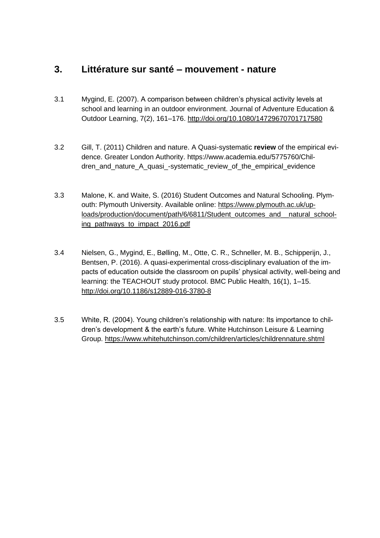#### **3. Littérature sur santé – mouvement - nature**

- 3.1 Mygind, E. (2007). A comparison between children's physical activity levels at school and learning in an outdoor environment. Journal of Adventure Education & Outdoor Learning, 7(2), 161–176.<http://doi.org/10.1080/14729670701717580>
- 3.2 Gill, T. (2011) Children and nature. A Quasi-systematic **review** of the empirical evidence. Greater London Authority. [https://www.academia.edu/5775760/Chil](https://www.academia.edu/5775760/Children_and_nature_A_quasi_-systematic_review_of_the_empirical_evidence)dren and nature A quasi -systematic review of the empirical evidence
- 3.3 Malone, K. and Waite, S. (2016) Student Outcomes and Natural Schooling. Plymouth: Plymouth University. Available online: [https://www.plymouth.ac.uk/up](https://www.plymouth.ac.uk/uploads/production/document/path/6/6811/Student_outcomes_and__natural_schooling_pathways_to_impact_2016.pdf)[loads/production/document/path/6/6811/Student\\_outcomes\\_and\\_\\_natural\\_school](https://www.plymouth.ac.uk/uploads/production/document/path/6/6811/Student_outcomes_and__natural_schooling_pathways_to_impact_2016.pdf)[ing\\_pathways\\_to\\_impact\\_2016.pdf](https://www.plymouth.ac.uk/uploads/production/document/path/6/6811/Student_outcomes_and__natural_schooling_pathways_to_impact_2016.pdf)
- 3.4 Nielsen, G., Mygind, E., Bølling, M., Otte, C. R., Schneller, M. B., Schipperijn, J., Bentsen, P. (2016). A quasi-experimental cross-disciplinary evaluation of the impacts of education outside the classroom on pupils' physical activity, well-being and learning: the TEACHOUT study protocol. BMC Public Health, 16(1), 1–15. <http://doi.org/10.1186/s12889-016-3780-8>
- 3.5 White, R. (2004). Young children's relationship with nature: Its importance to children's development & the earth's future. White Hutchinson Leisure & Learning Group.<https://www.whitehutchinson.com/children/articles/childrennature.shtml>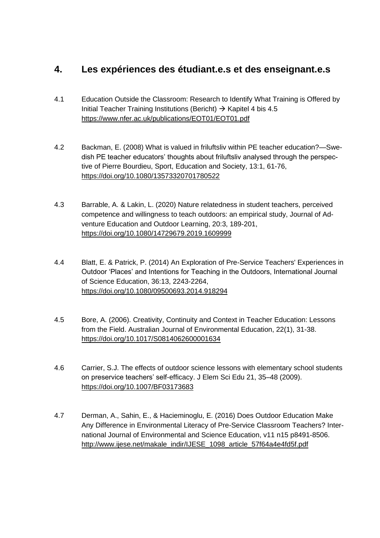#### **4. Les expériences des étudiant.e.s et des enseignant.e.s**

- 4.1 Education Outside the Classroom: Research to Identify What Training is Offered by Initial Teacher Training Institutions (Bericht)  $\rightarrow$  Kapitel 4 bis 4.5 <https://www.nfer.ac.uk/publications/EOT01/EOT01.pdf>
- 4.2 Backman, E. (2008) What is valued in friluftsliv within PE teacher education?—Swedish PE teacher educators' thoughts about friluftsliv analysed through the perspective of Pierre Bourdieu, Sport, Education and Society, 13:1, 61-76, <https://doi.org/10.1080/13573320701780522>
- 4.3 Barrable, A. & Lakin, L. (2020) Nature relatedness in student teachers, perceived competence and willingness to teach outdoors: an empirical study, Journal of Adventure Education and Outdoor Learning, 20:3, 189-201, <https://doi.org/10.1080/14729679.2019.1609999>
- 4.4 Blatt, E. & Patrick, P. (2014) An Exploration of Pre-Service Teachers' Experiences in Outdoor 'Places' and Intentions for Teaching in the Outdoors, International Journal of Science Education, 36:13, 2243-2264, <https://doi.org/10.1080/09500693.2014.918294>
- 4.5 Bore, A. (2006). Creativity, Continuity and Context in Teacher Education: Lessons from the Field. Australian Journal of Environmental Education, 22(1), 31-38. <https://doi.org/10.1017/S0814062600001634>
- 4.6 Carrier, S.J. The effects of outdoor science lessons with elementary school students on preservice teachers' self-efficacy. J Elem Sci Edu 21, 35–48 (2009). <https://doi.org/10.1007/BF03173683>
- 4.7 Derman, A., Sahin, E., & Hacieminoglu, E. (2016) Does Outdoor Education Make Any Difference in Environmental Literacy of Pre-Service Classroom Teachers? International Journal of Environmental and Science Education, v11 n15 p8491-8506. [http://www.ijese.net/makale\\_indir/IJESE\\_1098\\_article\\_57f64a4e4fd5f.pdf](http://www.ijese.net/makale_indir/IJESE_1098_article_57f64a4e4fd5f.pdf)